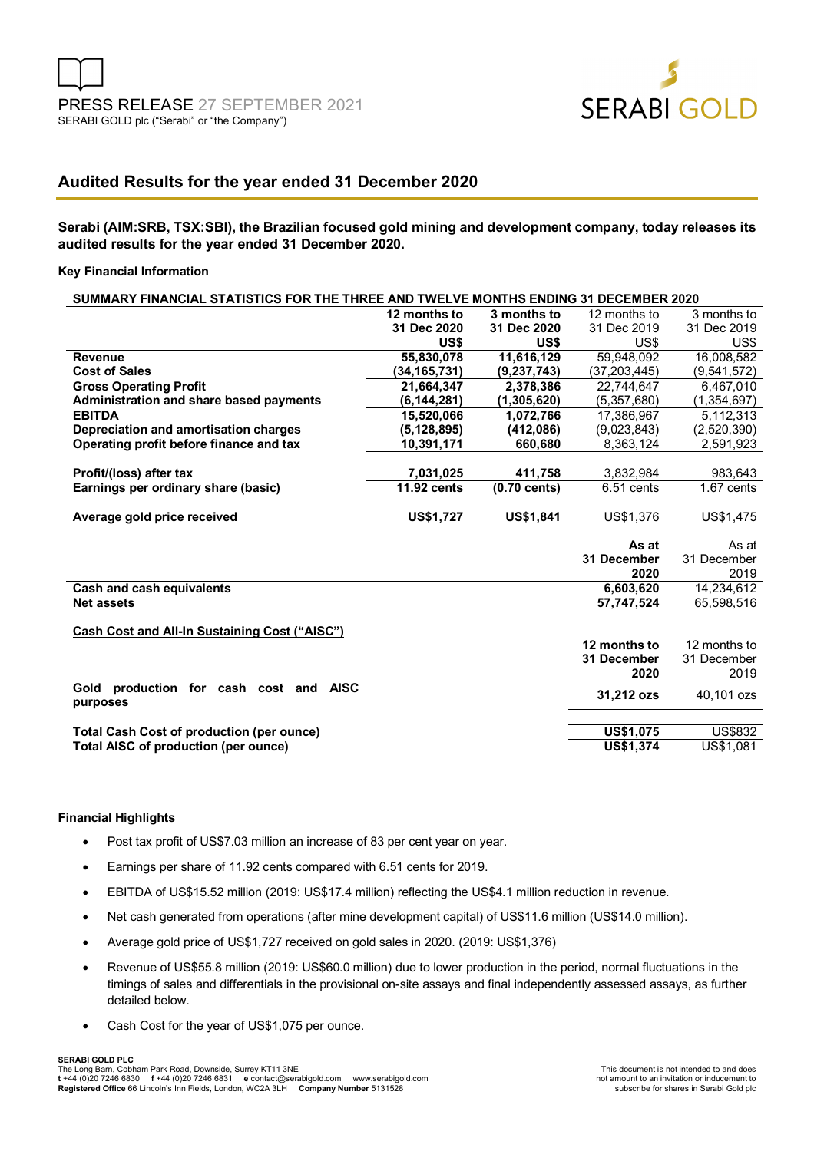

### **Audited Results for the year ended 31 December 2020**

**Serabi (AIM:SRB, TSX:SBI), the Brazilian focused gold mining and development company, today releases its audited results for the year ended 31 December 2020.** 

#### **Key Financial Information**

| SUMMARY FINANCIAL STATISTICS FOR THE THREE AND TWELVE MONTHS ENDING 31 DECEMBER 2020            |                  |                  |                        |                      |
|-------------------------------------------------------------------------------------------------|------------------|------------------|------------------------|----------------------|
|                                                                                                 | 12 months to     | 3 months to      | 12 months to           | 3 months to          |
|                                                                                                 | 31 Dec 2020      | 31 Dec 2020      | 31 Dec 2019            | 31 Dec 2019          |
|                                                                                                 | US\$             | US\$             | US\$                   | US\$                 |
| <b>Revenue</b>                                                                                  | 55,830,078       | 11,616,129       | 59.948.092             | 16,008,582           |
| <b>Cost of Sales</b>                                                                            | (34, 165, 731)   | (9, 237, 743)    | (37, 203, 445)         | (9,541,572)          |
| <b>Gross Operating Profit</b>                                                                   | 21,664,347       | 2,378,386        | 22,744,647             | 6,467,010            |
| Administration and share based payments                                                         | (6, 144, 281)    | (1,305,620)      | (5,357,680)            | (1,354,697)          |
| <b>EBITDA</b>                                                                                   | 15,520,066       | 1,072,766        | 17,386,967             | 5,112,313            |
| Depreciation and amortisation charges                                                           | (5, 128, 895)    | (412,086)        | (9,023,843)            | (2,520,390)          |
| Operating profit before finance and tax                                                         | 10,391,171       | 660,680          | 8,363,124              | 2,591,923            |
|                                                                                                 |                  |                  |                        |                      |
| Profit/(loss) after tax                                                                         | 7,031,025        | 411,758          | 3,832,984              | 983,643              |
| Earnings per ordinary share (basic)                                                             | 11.92 cents      | (0.70 cents)     | $6.51$ cents           | $1.67$ cents         |
|                                                                                                 |                  |                  |                        |                      |
| Average gold price received                                                                     | <b>US\$1,727</b> | <b>US\$1,841</b> | US\$1,376              | US\$1,475            |
|                                                                                                 |                  |                  |                        |                      |
|                                                                                                 |                  |                  |                        |                      |
|                                                                                                 |                  |                  | As at                  | As at                |
|                                                                                                 |                  |                  | 31 December            | 31 December          |
|                                                                                                 |                  |                  | 2020                   | 2019                 |
| Cash and cash equivalents                                                                       |                  |                  | 6,603,620              | 14,234,612           |
| <b>Net assets</b>                                                                               |                  |                  | 57,747,524             | 65,598,516           |
|                                                                                                 |                  |                  |                        |                      |
| <b>Cash Cost and All-In Sustaining Cost ("AISC")</b>                                            |                  |                  |                        |                      |
|                                                                                                 |                  |                  | 12 months to           | 12 months to         |
|                                                                                                 |                  |                  | 31 December            | 31 December          |
|                                                                                                 |                  |                  | 2020                   | 2019                 |
| Gold production for cash cost and AISC                                                          |                  |                  | 31,212 ozs             | 40,101 ozs           |
| purposes                                                                                        |                  |                  |                        |                      |
|                                                                                                 |                  |                  |                        |                      |
| <b>Total Cash Cost of production (per ounce)</b><br><b>Total AISC of production (per ounce)</b> |                  |                  | US\$1,075<br>US\$1,374 | US\$832<br>US\$1,081 |

#### **Financial Highlights**

- Post tax profit of US\$7.03 million an increase of 83 per cent year on year.
- Earnings per share of 11.92 cents compared with 6.51 cents for 2019.
- EBITDA of US\$15.52 million (2019: US\$17.4 million) reflecting the US\$4.1 million reduction in revenue.
- Net cash generated from operations (after mine development capital) of US\$11.6 million (US\$14.0 million).
- Average gold price of US\$1,727 received on gold sales in 2020. (2019: US\$1,376)
- Revenue of US\$55.8 million (2019: US\$60.0 million) due to lower production in the period, normal fluctuations in the timings of sales and differentials in the provisional on-site assays and final independently assessed assays, as further detailed below.
- Cash Cost for the year of US\$1,075 per ounce.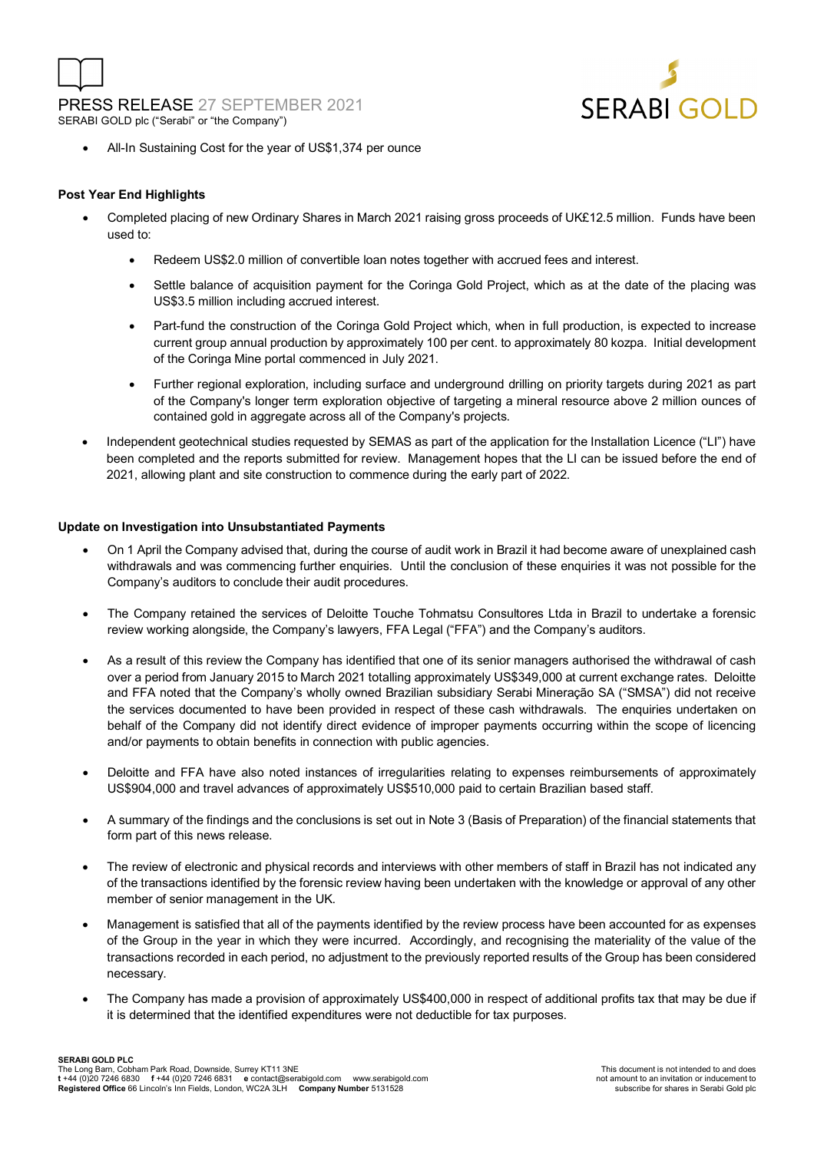



All-In Sustaining Cost for the year of US\$1,374 per ounce

#### **Post Year End Highlights**

- Completed placing of new Ordinary Shares in March 2021 raising gross proceeds of UK£12.5 million. Funds have been used to:
	- Redeem US\$2.0 million of convertible loan notes together with accrued fees and interest.
	- Settle balance of acquisition payment for the Coringa Gold Project, which as at the date of the placing was US\$3.5 million including accrued interest.
	- Part-fund the construction of the Coringa Gold Project which, when in full production, is expected to increase current group annual production by approximately 100 per cent. to approximately 80 kozpa. Initial development of the Coringa Mine portal commenced in July 2021.
	- Further regional exploration, including surface and underground drilling on priority targets during 2021 as part of the Company's longer term exploration objective of targeting a mineral resource above 2 million ounces of contained gold in aggregate across all of the Company's projects.
- Independent geotechnical studies requested by SEMAS as part of the application for the Installation Licence ("LI") have been completed and the reports submitted for review. Management hopes that the LI can be issued before the end of 2021, allowing plant and site construction to commence during the early part of 2022.

#### **Update on Investigation into Unsubstantiated Payments**

- On 1 April the Company advised that, during the course of audit work in Brazil it had become aware of unexplained cash withdrawals and was commencing further enquiries. Until the conclusion of these enquiries it was not possible for the Company's auditors to conclude their audit procedures.
- The Company retained the services of Deloitte Touche Tohmatsu Consultores Ltda in Brazil to undertake a forensic review working alongside, the Company's lawyers, FFA Legal ("FFA") and the Company's auditors.
- As a result of this review the Company has identified that one of its senior managers authorised the withdrawal of cash over a period from January 2015 to March 2021 totalling approximately US\$349,000 at current exchange rates. Deloitte and FFA noted that the Company's wholly owned Brazilian subsidiary Serabi Mineração SA ("SMSA") did not receive the services documented to have been provided in respect of these cash withdrawals. The enquiries undertaken on behalf of the Company did not identify direct evidence of improper payments occurring within the scope of licencing and/or payments to obtain benefits in connection with public agencies.
- Deloitte and FFA have also noted instances of irregularities relating to expenses reimbursements of approximately US\$904,000 and travel advances of approximately US\$510,000 paid to certain Brazilian based staff.
- A summary of the findings and the conclusions is set out in Note 3 (Basis of Preparation) of the financial statements that form part of this news release.
- The review of electronic and physical records and interviews with other members of staff in Brazil has not indicated any of the transactions identified by the forensic review having been undertaken with the knowledge or approval of any other member of senior management in the UK.
- Management is satisfied that all of the payments identified by the review process have been accounted for as expenses of the Group in the year in which they were incurred. Accordingly, and recognising the materiality of the value of the transactions recorded in each period, no adjustment to the previously reported results of the Group has been considered necessary.
- The Company has made a provision of approximately US\$400,000 in respect of additional profits tax that may be due if it is determined that the identified expenditures were not deductible for tax purposes.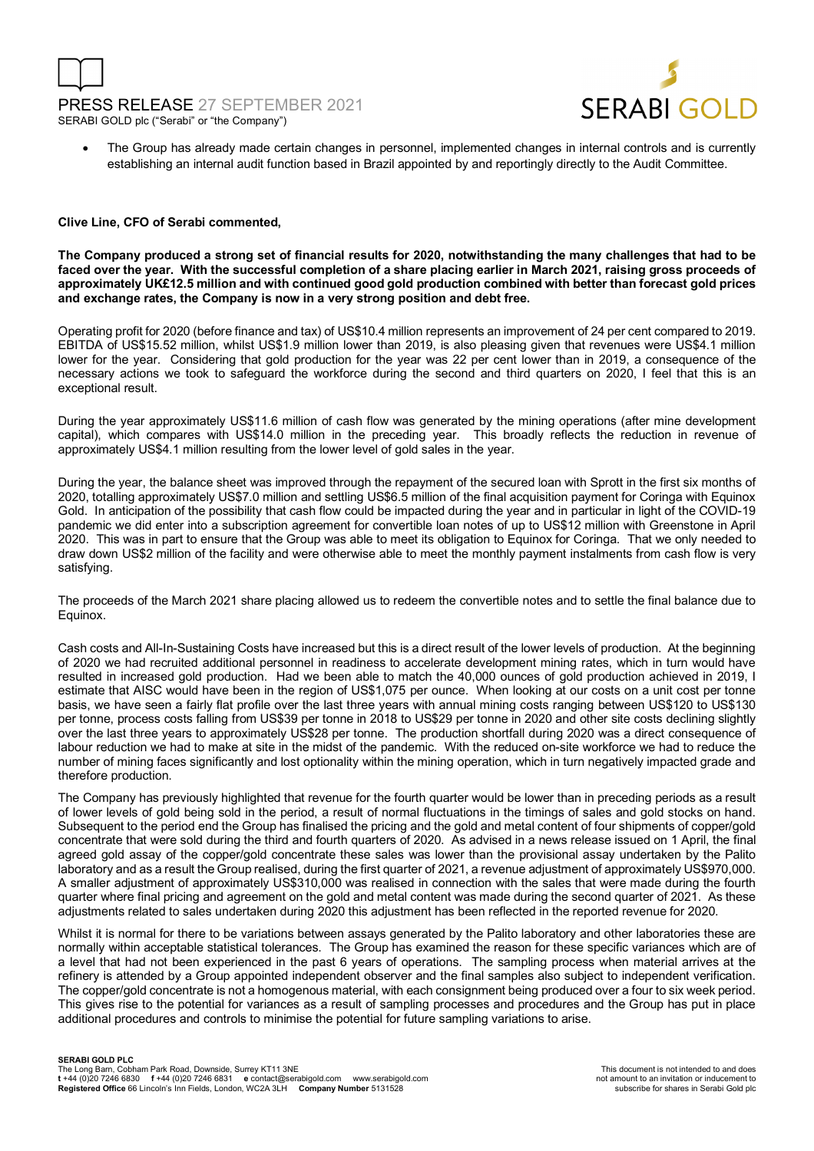



 The Group has already made certain changes in personnel, implemented changes in internal controls and is currently establishing an internal audit function based in Brazil appointed by and reportingly directly to the Audit Committee.

#### **Clive Line, CFO of Serabi commented,**

**The Company produced a strong set of financial results for 2020, notwithstanding the many challenges that had to be faced over the year. With the successful completion of a share placing earlier in March 2021, raising gross proceeds of approximately UK£12.5 million and with continued good gold production combined with better than forecast gold prices and exchange rates, the Company is now in a very strong position and debt free.** 

Operating profit for 2020 (before finance and tax) of US\$10.4 million represents an improvement of 24 per cent compared to 2019. EBITDA of US\$15.52 million, whilst US\$1.9 million lower than 2019, is also pleasing given that revenues were US\$4.1 million lower for the year. Considering that gold production for the year was 22 per cent lower than in 2019, a consequence of the necessary actions we took to safeguard the workforce during the second and third quarters on 2020, I feel that this is an exceptional result.

During the year approximately US\$11.6 million of cash flow was generated by the mining operations (after mine development capital), which compares with US\$14.0 million in the preceding year. This broadly reflects the reduction in revenue of approximately US\$4.1 million resulting from the lower level of gold sales in the year.

During the year, the balance sheet was improved through the repayment of the secured loan with Sprott in the first six months of 2020, totalling approximately US\$7.0 million and settling US\$6.5 million of the final acquisition payment for Coringa with Equinox Gold. In anticipation of the possibility that cash flow could be impacted during the year and in particular in light of the COVID-19 pandemic we did enter into a subscription agreement for convertible loan notes of up to US\$12 million with Greenstone in April 2020. This was in part to ensure that the Group was able to meet its obligation to Equinox for Coringa. That we only needed to draw down US\$2 million of the facility and were otherwise able to meet the monthly payment instalments from cash flow is very satisfying.

The proceeds of the March 2021 share placing allowed us to redeem the convertible notes and to settle the final balance due to Equinox.

Cash costs and All-In-Sustaining Costs have increased but this is a direct result of the lower levels of production. At the beginning of 2020 we had recruited additional personnel in readiness to accelerate development mining rates, which in turn would have resulted in increased gold production. Had we been able to match the 40,000 ounces of gold production achieved in 2019, I estimate that AISC would have been in the region of US\$1,075 per ounce. When looking at our costs on a unit cost per tonne basis, we have seen a fairly flat profile over the last three years with annual mining costs ranging between US\$120 to US\$130 per tonne, process costs falling from US\$39 per tonne in 2018 to US\$29 per tonne in 2020 and other site costs declining slightly over the last three years to approximately US\$28 per tonne. The production shortfall during 2020 was a direct consequence of labour reduction we had to make at site in the midst of the pandemic. With the reduced on-site workforce we had to reduce the number of mining faces significantly and lost optionality within the mining operation, which in turn negatively impacted grade and therefore production.

The Company has previously highlighted that revenue for the fourth quarter would be lower than in preceding periods as a result of lower levels of gold being sold in the period, a result of normal fluctuations in the timings of sales and gold stocks on hand. Subsequent to the period end the Group has finalised the pricing and the gold and metal content of four shipments of copper/gold concentrate that were sold during the third and fourth quarters of 2020. As advised in a news release issued on 1 April, the final agreed gold assay of the copper/gold concentrate these sales was lower than the provisional assay undertaken by the Palito laboratory and as a result the Group realised, during the first quarter of 2021, a revenue adjustment of approximately US\$970,000. A smaller adjustment of approximately US\$310,000 was realised in connection with the sales that were made during the fourth quarter where final pricing and agreement on the gold and metal content was made during the second quarter of 2021. As these adjustments related to sales undertaken during 2020 this adjustment has been reflected in the reported revenue for 2020.

Whilst it is normal for there to be variations between assays generated by the Palito laboratory and other laboratories these are normally within acceptable statistical tolerances. The Group has examined the reason for these specific variances which are of a level that had not been experienced in the past 6 years of operations. The sampling process when material arrives at the refinery is attended by a Group appointed independent observer and the final samples also subject to independent verification. The copper/gold concentrate is not a homogenous material, with each consignment being produced over a four to six week period. This gives rise to the potential for variances as a result of sampling processes and procedures and the Group has put in place additional procedures and controls to minimise the potential for future sampling variations to arise.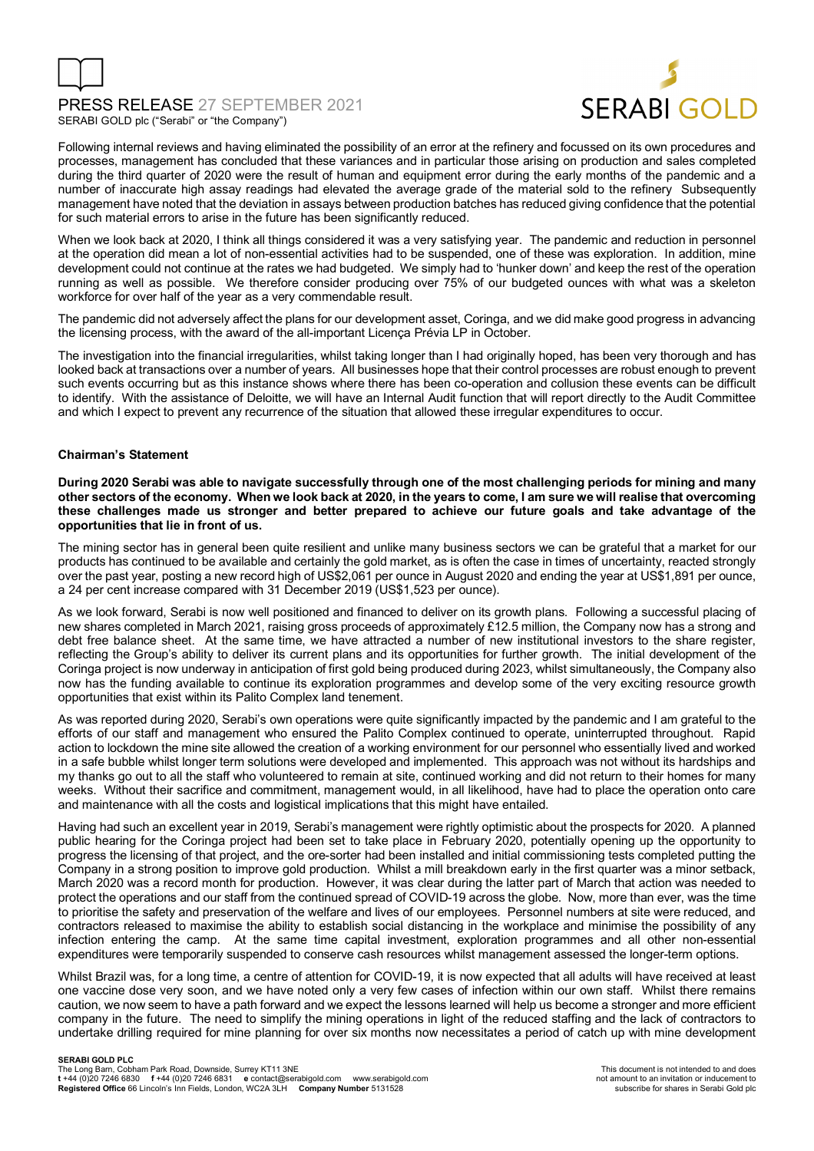



Following internal reviews and having eliminated the possibility of an error at the refinery and focussed on its own procedures and processes, management has concluded that these variances and in particular those arising on production and sales completed during the third quarter of 2020 were the result of human and equipment error during the early months of the pandemic and a number of inaccurate high assay readings had elevated the average grade of the material sold to the refinery Subsequently management have noted that the deviation in assays between production batches has reduced giving confidence that the potential for such material errors to arise in the future has been significantly reduced.

When we look back at 2020, I think all things considered it was a very satisfying year. The pandemic and reduction in personnel at the operation did mean a lot of non-essential activities had to be suspended, one of these was exploration. In addition, mine development could not continue at the rates we had budgeted. We simply had to 'hunker down' and keep the rest of the operation running as well as possible. We therefore consider producing over 75% of our budgeted ounces with what was a skeleton workforce for over half of the year as a very commendable result.

The pandemic did not adversely affect the plans for our development asset, Coringa, and we did make good progress in advancing the licensing process, with the award of the all-important Licença Prévia LP in October.

The investigation into the financial irregularities, whilst taking longer than I had originally hoped, has been very thorough and has looked back at transactions over a number of years. All businesses hope that their control processes are robust enough to prevent such events occurring but as this instance shows where there has been co-operation and collusion these events can be difficult to identify. With the assistance of Deloitte, we will have an Internal Audit function that will report directly to the Audit Committee and which I expect to prevent any recurrence of the situation that allowed these irregular expenditures to occur.

#### **Chairman's Statement**

**During 2020 Serabi was able to navigate successfully through one of the most challenging periods for mining and many other sectors of the economy. When we look back at 2020, in the years to come, I am sure we will realise that overcoming these challenges made us stronger and better prepared to achieve our future goals and take advantage of the opportunities that lie in front of us.** 

The mining sector has in general been quite resilient and unlike many business sectors we can be grateful that a market for our products has continued to be available and certainly the gold market, as is often the case in times of uncertainty, reacted strongly over the past year, posting a new record high of US\$2,061 per ounce in August 2020 and ending the year at US\$1,891 per ounce, a 24 per cent increase compared with 31 December 2019 (US\$1,523 per ounce).

As we look forward, Serabi is now well positioned and financed to deliver on its growth plans. Following a successful placing of new shares completed in March 2021, raising gross proceeds of approximately £12.5 million, the Company now has a strong and debt free balance sheet. At the same time, we have attracted a number of new institutional investors to the share register, reflecting the Group's ability to deliver its current plans and its opportunities for further growth. The initial development of the Coringa project is now underway in anticipation of first gold being produced during 2023, whilst simultaneously, the Company also now has the funding available to continue its exploration programmes and develop some of the very exciting resource growth opportunities that exist within its Palito Complex land tenement.

As was reported during 2020, Serabi's own operations were quite significantly impacted by the pandemic and I am grateful to the efforts of our staff and management who ensured the Palito Complex continued to operate, uninterrupted throughout. Rapid action to lockdown the mine site allowed the creation of a working environment for our personnel who essentially lived and worked in a safe bubble whilst longer term solutions were developed and implemented. This approach was not without its hardships and my thanks go out to all the staff who volunteered to remain at site, continued working and did not return to their homes for many weeks. Without their sacrifice and commitment, management would, in all likelihood, have had to place the operation onto care and maintenance with all the costs and logistical implications that this might have entailed.

Having had such an excellent year in 2019, Serabi's management were rightly optimistic about the prospects for 2020. A planned public hearing for the Coringa project had been set to take place in February 2020, potentially opening up the opportunity to progress the licensing of that project, and the ore-sorter had been installed and initial commissioning tests completed putting the Company in a strong position to improve gold production. Whilst a mill breakdown early in the first quarter was a minor setback, March 2020 was a record month for production. However, it was clear during the latter part of March that action was needed to protect the operations and our staff from the continued spread of COVID-19 across the globe. Now, more than ever, was the time to prioritise the safety and preservation of the welfare and lives of our employees. Personnel numbers at site were reduced, and contractors released to maximise the ability to establish social distancing in the workplace and minimise the possibility of any infection entering the camp. At the same time capital investment, exploration programmes and all other non-essential expenditures were temporarily suspended to conserve cash resources whilst management assessed the longer-term options.

Whilst Brazil was, for a long time, a centre of attention for COVID-19, it is now expected that all adults will have received at least one vaccine dose very soon, and we have noted only a very few cases of infection within our own staff. Whilst there remains caution, we now seem to have a path forward and we expect the lessons learned will help us become a stronger and more efficient company in the future. The need to simplify the mining operations in light of the reduced staffing and the lack of contractors to undertake drilling required for mine planning for over six months now necessitates a period of catch up with mine development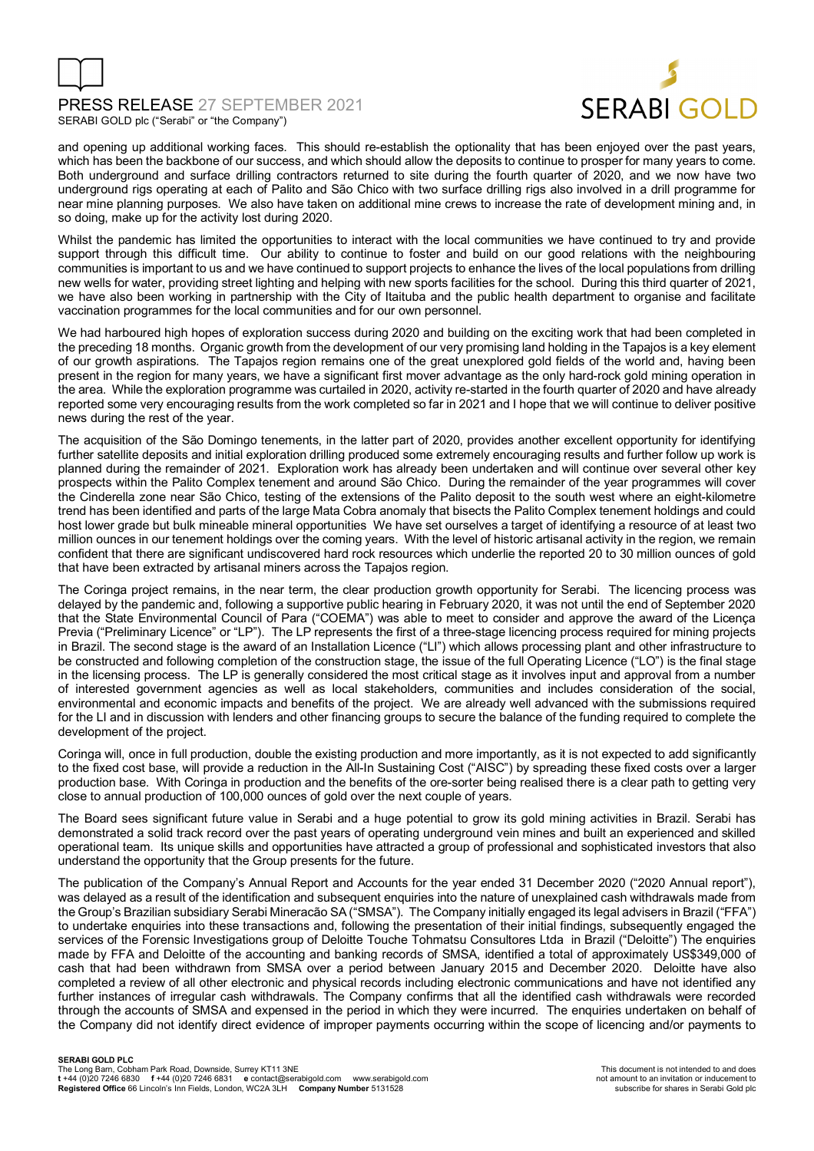



and opening up additional working faces. This should re-establish the optionality that has been enjoyed over the past years, which has been the backbone of our success, and which should allow the deposits to continue to prosper for many years to come. Both underground and surface drilling contractors returned to site during the fourth quarter of 2020, and we now have two underground rigs operating at each of Palito and São Chico with two surface drilling rigs also involved in a drill programme for near mine planning purposes. We also have taken on additional mine crews to increase the rate of development mining and, in so doing, make up for the activity lost during 2020.

Whilst the pandemic has limited the opportunities to interact with the local communities we have continued to try and provide support through this difficult time. Our ability to continue to foster and build on our good relations with the neighbouring communities is important to us and we have continued to support projects to enhance the lives of the local populations from drilling new wells for water, providing street lighting and helping with new sports facilities for the school. During this third quarter of 2021, we have also been working in partnership with the City of Itaituba and the public health department to organise and facilitate vaccination programmes for the local communities and for our own personnel.

We had harboured high hopes of exploration success during 2020 and building on the exciting work that had been completed in the preceding 18 months. Organic growth from the development of our very promising land holding in the Tapajos is a key element of our growth aspirations. The Tapajos region remains one of the great unexplored gold fields of the world and, having been present in the region for many years, we have a significant first mover advantage as the only hard-rock gold mining operation in the area. While the exploration programme was curtailed in 2020, activity re-started in the fourth quarter of 2020 and have already reported some very encouraging results from the work completed so far in 2021 and I hope that we will continue to deliver positive news during the rest of the year.

The acquisition of the São Domingo tenements, in the latter part of 2020, provides another excellent opportunity for identifying further satellite deposits and initial exploration drilling produced some extremely encouraging results and further follow up work is planned during the remainder of 2021. Exploration work has already been undertaken and will continue over several other key prospects within the Palito Complex tenement and around São Chico. During the remainder of the year programmes will cover the Cinderella zone near São Chico, testing of the extensions of the Palito deposit to the south west where an eight-kilometre trend has been identified and parts of the large Mata Cobra anomaly that bisects the Palito Complex tenement holdings and could host lower grade but bulk mineable mineral opportunities We have set ourselves a target of identifying a resource of at least two million ounces in our tenement holdings over the coming years. With the level of historic artisanal activity in the region, we remain confident that there are significant undiscovered hard rock resources which underlie the reported 20 to 30 million ounces of gold that have been extracted by artisanal miners across the Tapajos region.

The Coringa project remains, in the near term, the clear production growth opportunity for Serabi. The licencing process was delayed by the pandemic and, following a supportive public hearing in February 2020, it was not until the end of September 2020 that the State Environmental Council of Para ("COEMA") was able to meet to consider and approve the award of the Licença Previa ("Preliminary Licence" or "LP"). The LP represents the first of a three-stage licencing process required for mining projects in Brazil. The second stage is the award of an Installation Licence ("LI") which allows processing plant and other infrastructure to be constructed and following completion of the construction stage, the issue of the full Operating Licence ("LO") is the final stage in the licensing process. The LP is generally considered the most critical stage as it involves input and approval from a number of interested government agencies as well as local stakeholders, communities and includes consideration of the social, environmental and economic impacts and benefits of the project. We are already well advanced with the submissions required for the LI and in discussion with lenders and other financing groups to secure the balance of the funding required to complete the development of the project.

Coringa will, once in full production, double the existing production and more importantly, as it is not expected to add significantly to the fixed cost base, will provide a reduction in the All-In Sustaining Cost ("AISC") by spreading these fixed costs over a larger production base. With Coringa in production and the benefits of the ore-sorter being realised there is a clear path to getting very close to annual production of 100,000 ounces of gold over the next couple of years.

The Board sees significant future value in Serabi and a huge potential to grow its gold mining activities in Brazil. Serabi has demonstrated a solid track record over the past years of operating underground vein mines and built an experienced and skilled operational team. Its unique skills and opportunities have attracted a group of professional and sophisticated investors that also understand the opportunity that the Group presents for the future.

The publication of the Company's Annual Report and Accounts for the year ended 31 December 2020 ("2020 Annual report"), was delayed as a result of the identification and subsequent enquiries into the nature of unexplained cash withdrawals made from the Group's Brazilian subsidiary Serabi Mineracão SA ("SMSA"). The Company initially engaged its legal advisers in Brazil ("FFA") to undertake enquiries into these transactions and, following the presentation of their initial findings, subsequently engaged the services of the Forensic Investigations group of Deloitte Touche Tohmatsu Consultores Ltda in Brazil ("Deloitte") The enquiries made by FFA and Deloitte of the accounting and banking records of SMSA, identified a total of approximately US\$349,000 of cash that had been withdrawn from SMSA over a period between January 2015 and December 2020. Deloitte have also completed a review of all other electronic and physical records including electronic communications and have not identified any further instances of irregular cash withdrawals. The Company confirms that all the identified cash withdrawals were recorded through the accounts of SMSA and expensed in the period in which they were incurred. The enquiries undertaken on behalf of the Company did not identify direct evidence of improper payments occurring within the scope of licencing and/or payments to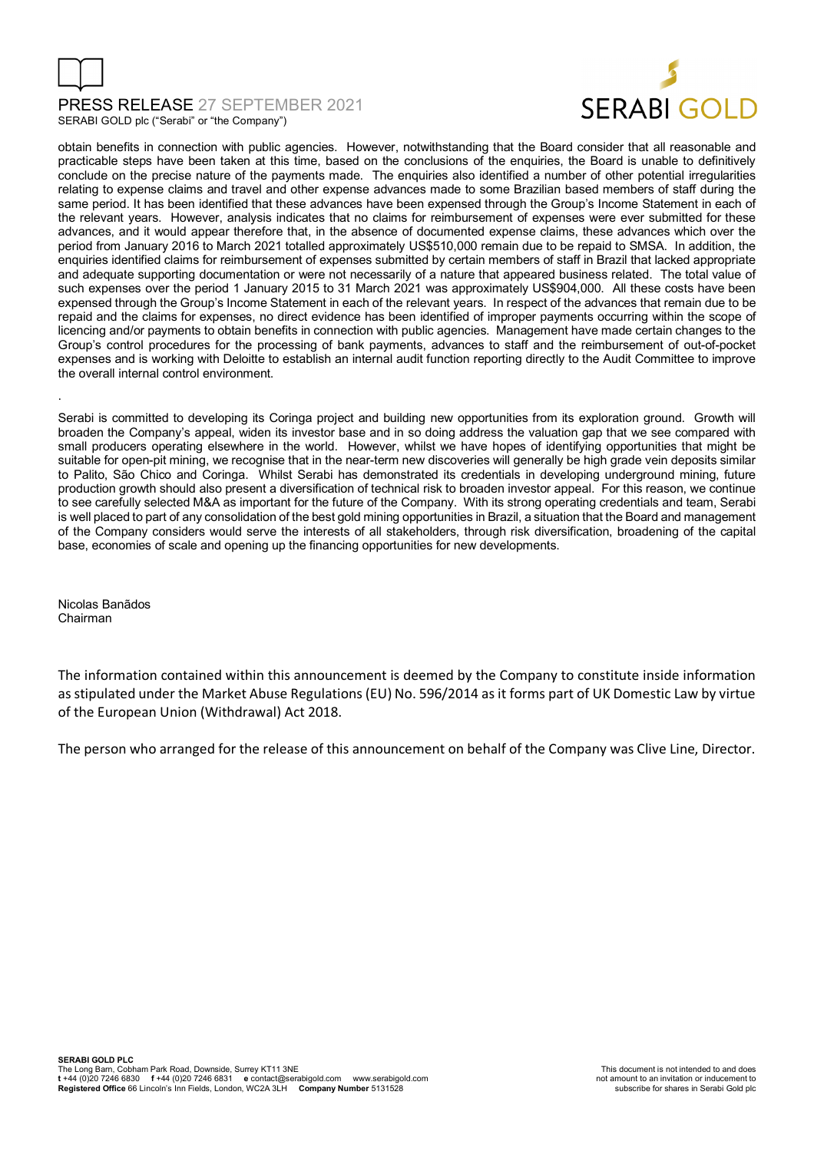



obtain benefits in connection with public agencies. However, notwithstanding that the Board consider that all reasonable and practicable steps have been taken at this time, based on the conclusions of the enquiries, the Board is unable to definitively conclude on the precise nature of the payments made. The enquiries also identified a number of other potential irregularities relating to expense claims and travel and other expense advances made to some Brazilian based members of staff during the same period. It has been identified that these advances have been expensed through the Group's Income Statement in each of the relevant years. However, analysis indicates that no claims for reimbursement of expenses were ever submitted for these advances, and it would appear therefore that, in the absence of documented expense claims, these advances which over the period from January 2016 to March 2021 totalled approximately US\$510,000 remain due to be repaid to SMSA. In addition, the enquiries identified claims for reimbursement of expenses submitted by certain members of staff in Brazil that lacked appropriate and adequate supporting documentation or were not necessarily of a nature that appeared business related. The total value of such expenses over the period 1 January 2015 to 31 March 2021 was approximately US\$904,000. All these costs have been expensed through the Group's Income Statement in each of the relevant years. In respect of the advances that remain due to be repaid and the claims for expenses, no direct evidence has been identified of improper payments occurring within the scope of licencing and/or payments to obtain benefits in connection with public agencies. Management have made certain changes to the Group's control procedures for the processing of bank payments, advances to staff and the reimbursement of out-of-pocket expenses and is working with Deloitte to establish an internal audit function reporting directly to the Audit Committee to improve the overall internal control environment.

Serabi is committed to developing its Coringa project and building new opportunities from its exploration ground. Growth will broaden the Company's appeal, widen its investor base and in so doing address the valuation gap that we see compared with small producers operating elsewhere in the world. However, whilst we have hopes of identifying opportunities that might be suitable for open-pit mining, we recognise that in the near-term new discoveries will generally be high grade vein deposits similar to Palito, São Chico and Coringa. Whilst Serabi has demonstrated its credentials in developing underground mining, future production growth should also present a diversification of technical risk to broaden investor appeal. For this reason, we continue to see carefully selected M&A as important for the future of the Company. With its strong operating credentials and team, Serabi is well placed to part of any consolidation of the best gold mining opportunities in Brazil, a situation that the Board and management of the Company considers would serve the interests of all stakeholders, through risk diversification, broadening of the capital base, economies of scale and opening up the financing opportunities for new developments.

Nicolas Banãdos Chairman

.

The information contained within this announcement is deemed by the Company to constitute inside information as stipulated under the Market Abuse Regulations (EU) No. 596/2014 as it forms part of UK Domestic Law by virtue of the European Union (Withdrawal) Act 2018.

The person who arranged for the release of this announcement on behalf of the Company was Clive Line, Director.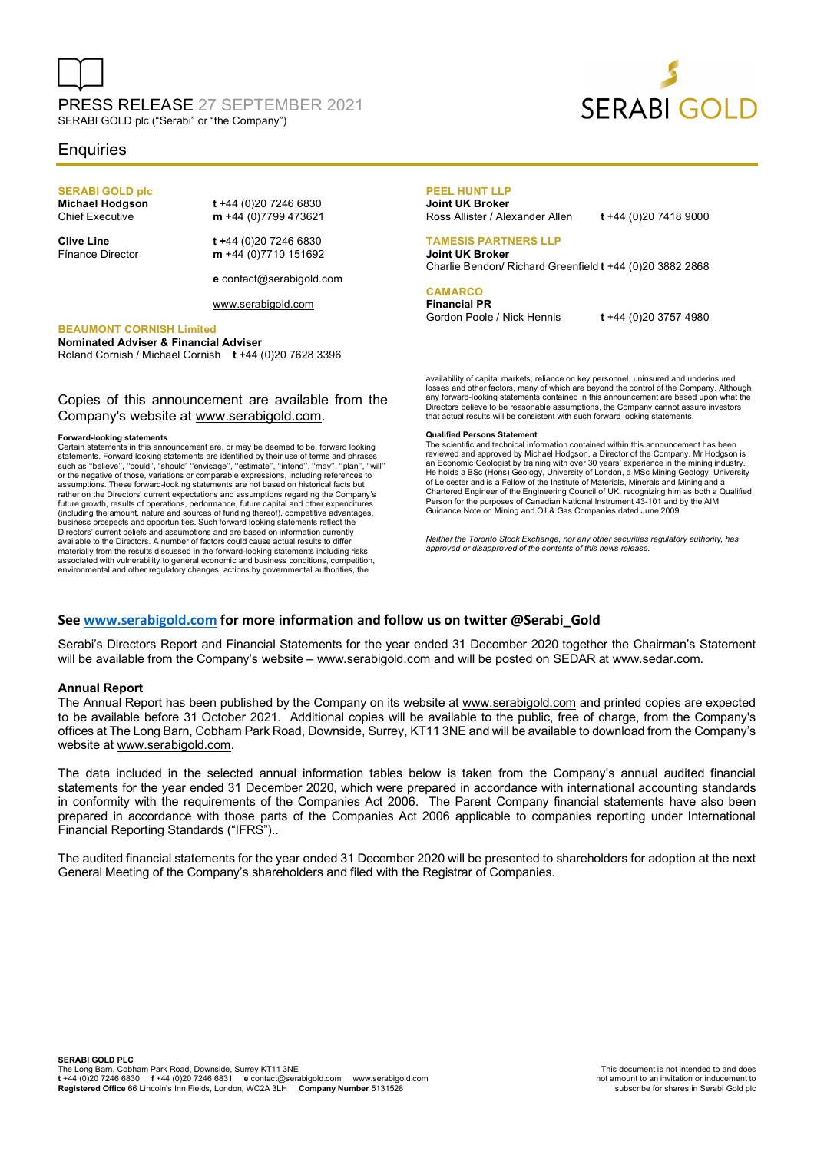### **Enquiries**



## **SERABI GOLD plc**

Chief Executive **m** +44 (0)7799 473621

**Clive Line** t +44 (0)20 7246 6830<br>Fínance Director **m** +44 (0)7710 151692

**Michael Hodgson t +**44 (0)20 7246 6830

m +44 (0)7710 151692

**e** contact@serabigold.com

www.serabigold.com

#### **BEAUMONT CORNISH Limited**

**Nominated Adviser & Financial Adviser**  Roland Cornish / Michael Cornish **t** +44 (0)20 7628 3396

#### Copies of this announcement are available from the Company's website at www.serabigold.com.

#### **Forward-looking statements**

Certain statements in this announcement are, or may be deemed to be, forward looking statements. Forward looking statements are identified by their use of terms and phrases such as "believe", "could", "should" "envisage", "estimate", "intend", "may", "plan", "will"<br>or the negative of those, variations or comparable expressions, including references to assumptions. These forward-looking statements are not based on historical facts but rather on the Directors' current expectations and assumptions regarding the Company's future growth, results of operations, performance, future capital and other expenditures (including the amount, nature and sources of funding thereof), competitive advantages, business prospects and opportunities. Such forward looking statements reflect the Directors' current beliefs and assumptions and are based on information currently available to the Directors. A number of factors could cause actual results to differ materially from the results discussed in the forward-looking statements including risks associated with vulnerability to general economic and business conditions, competition, environmental and other regulatory changes, actions by governmental authorities, the

**PEEL HUNT LLP Joint UK Broker**

Ross Allister / Alexander Allen **t** +44 (0)20 7418 9000

#### **TAMESIS PARTNERS LLP Joint UK Broker**

Charlie Bendon/ Richard Greenfield **t** +44 (0)20 3882 2868

#### **CAMARCO**

**Financial PR** Gordon Poole / Nick Hennis **t** +44 (0)20 3757 4980

availability of capital markets, reliance on key personnel, uninsured and underinsured losses and other factors, many of which are beyond the control of the Company. Although any forward-looking statements contained in this announcement are based upon what the Directors believe to be reasonable assumptions, the Company cannot assure investors that actual results will be consistent with such forward looking statements.

#### **Qualified Persons Statement**

The scientific and technical information contained within this announcement has been reviewed and approved by Michael Hodgson, a Director of the Company. Mr Hodgson is an Economic Geologist by training with over 30 years' experience in the mining industry. He holds a BSc (Hons) Geology, University of London, a MSc Mining Geology, University of Leicester and is a Fellow of the Institute of Materials, Minerals and Mining and a Chartered Engineer of the Engineering Council of UK, recognizing him as both a Qualified<br>Person for the purposes of Canadian National Instrument 43-101 and by the AIM<br>Guidance Note on Mining and Oil & Gas Companies dated J

*Neither the Toronto Stock Exchange, nor any other securities regulatory authority, has approved or disapproved of the contents of this news release.*

#### **See www.serabigold.com for more information and follow us on twitter @Serabi\_Gold**

Serabi's Directors Report and Financial Statements for the year ended 31 December 2020 together the Chairman's Statement will be available from the Company's website – www.serabigold.com and will be posted on SEDAR at www.sedar.com.

#### **Annual Report**

The Annual Report has been published by the Company on its website at www.serabigold.com and printed copies are expected to be available before 31 October 2021. Additional copies will be available to the public, free of charge, from the Company's offices at The Long Barn, Cobham Park Road, Downside, Surrey, KT11 3NE and will be available to download from the Company's website at www.serabigold.com.

The data included in the selected annual information tables below is taken from the Company's annual audited financial statements for the year ended 31 December 2020, which were prepared in accordance with international accounting standards in conformity with the requirements of the Companies Act 2006. The Parent Company financial statements have also been prepared in accordance with those parts of the Companies Act 2006 applicable to companies reporting under International Financial Reporting Standards ("IFRS")..

The audited financial statements for the year ended 31 December 2020 will be presented to shareholders for adoption at the next General Meeting of the Company's shareholders and filed with the Registrar of Companies.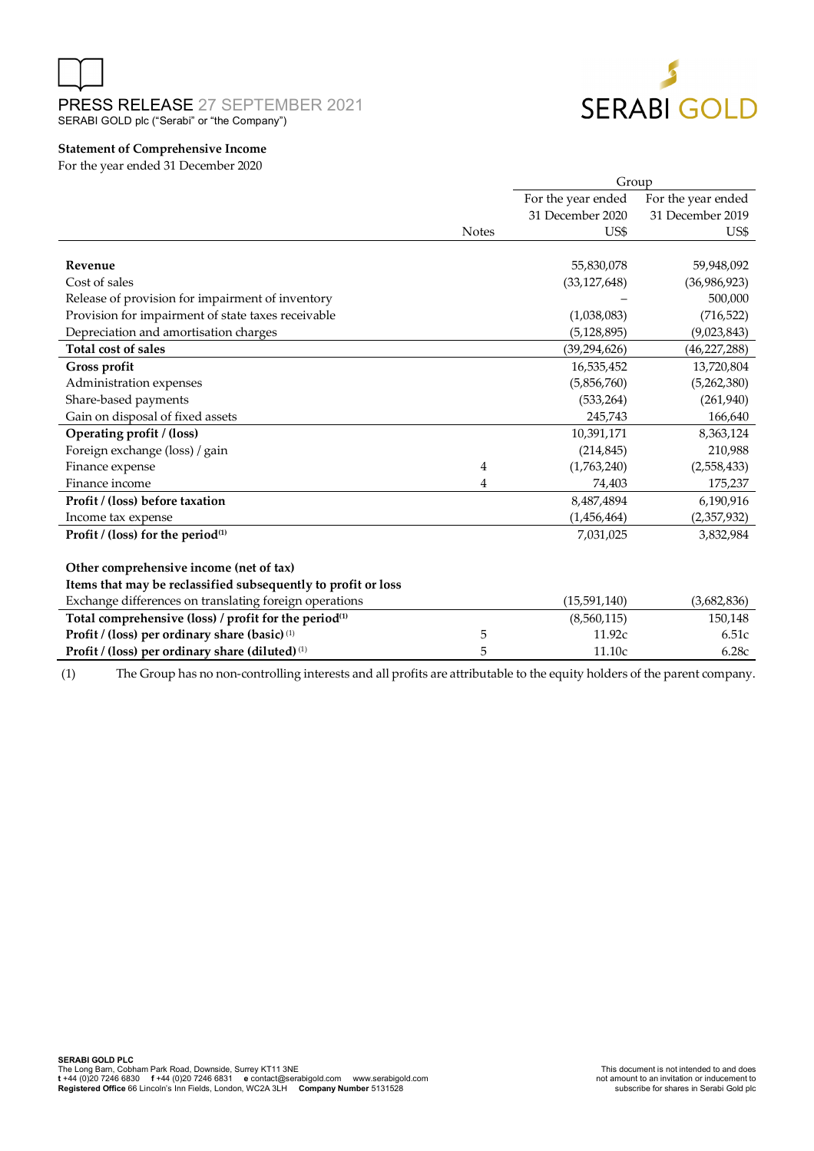

#### **Statement of Comprehensive Income**

For the year ended 31 December 2020

|                                                                   | Group        |                    |                    |
|-------------------------------------------------------------------|--------------|--------------------|--------------------|
|                                                                   |              | For the year ended | For the year ended |
|                                                                   |              | 31 December 2020   | 31 December 2019   |
|                                                                   | <b>Notes</b> | US\$               | US\$               |
|                                                                   |              |                    |                    |
| Revenue                                                           |              | 55,830,078         | 59,948,092         |
| Cost of sales                                                     |              | (33, 127, 648)     | (36,986,923)       |
| Release of provision for impairment of inventory                  |              |                    | 500,000            |
| Provision for impairment of state taxes receivable                |              | (1,038,083)        | (716, 522)         |
| Depreciation and amortisation charges                             |              | (5, 128, 895)      | (9,023,843)        |
| <b>Total cost of sales</b>                                        |              | (39, 294, 626)     | (46, 227, 288)     |
| Gross profit                                                      |              | 16,535,452         | 13,720,804         |
| Administration expenses                                           |              | (5,856,760)        | (5,262,380)        |
| Share-based payments                                              |              | (533, 264)         | (261,940)          |
| Gain on disposal of fixed assets                                  |              | 245,743            | 166,640            |
| Operating profit / (loss)                                         |              | 10,391,171         | 8,363,124          |
| Foreign exchange (loss) / gain                                    |              | (214, 845)         | 210,988            |
| Finance expense                                                   | 4            | (1,763,240)        | (2,558,433)        |
| Finance income                                                    | 4            | 74,403             | 175,237            |
| Profit / (loss) before taxation                                   |              | 8,487,4894         | 6,190,916          |
| Income tax expense                                                |              | (1,456,464)        | (2,357,932)        |
| Profit / (loss) for the period $(1)$                              |              | 7,031,025          | 3,832,984          |
|                                                                   |              |                    |                    |
| Other comprehensive income (net of tax)                           |              |                    |                    |
| Items that may be reclassified subsequently to profit or loss     |              |                    |                    |
| Exchange differences on translating foreign operations            |              | (15,591,140)       | (3,682,836)        |
| Total comprehensive (loss) / profit for the period <sup>(1)</sup> |              | (8,560,115)        | 150,148            |
| Profit / (loss) per ordinary share (basic) <sup>(1)</sup>         | 5            | 11.92c             | 6.51c              |
| Profit / (loss) per ordinary share (diluted) <sup>(1)</sup>       | 5            | 11.10c             | 6.28c              |

(1) The Group has no non-controlling interests and all profits are attributable to the equity holders of the parent company.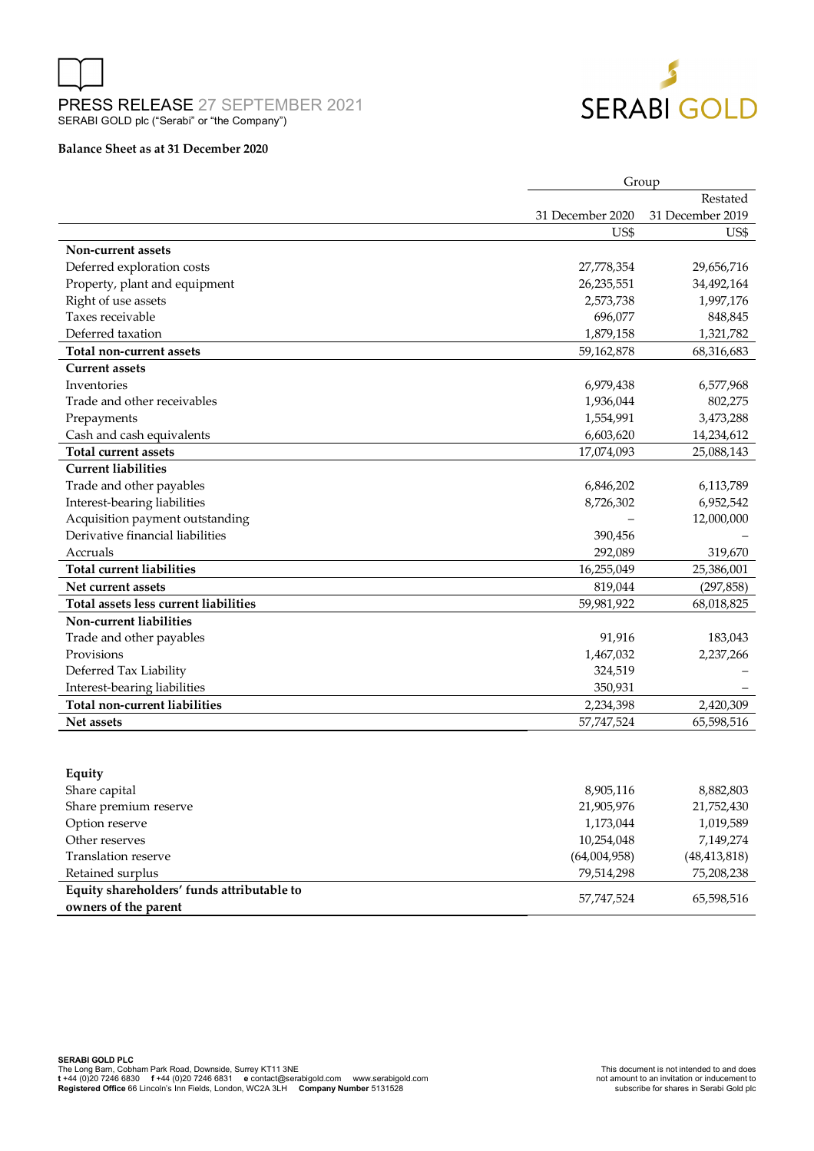

#### **Balance Sheet as at 31 December 2020**

|                                       | Group            |                  |  |
|---------------------------------------|------------------|------------------|--|
|                                       |                  | Restated         |  |
|                                       | 31 December 2020 | 31 December 2019 |  |
|                                       | US\$             | US\$             |  |
| Non-current assets                    |                  |                  |  |
| Deferred exploration costs            | 27,778,354       | 29,656,716       |  |
| Property, plant and equipment         | 26,235,551       | 34,492,164       |  |
| Right of use assets                   | 2,573,738        | 1,997,176        |  |
| Taxes receivable                      | 696,077          | 848,845          |  |
| Deferred taxation                     | 1,879,158        | 1,321,782        |  |
| Total non-current assets              | 59,162,878       | 68,316,683       |  |
| <b>Current assets</b>                 |                  |                  |  |
| Inventories                           | 6,979,438        | 6,577,968        |  |
| Trade and other receivables           | 1,936,044        | 802,275          |  |
| Prepayments                           | 1,554,991        | 3,473,288        |  |
| Cash and cash equivalents             | 6,603,620        | 14,234,612       |  |
| <b>Total current assets</b>           | 17,074,093       | 25,088,143       |  |
| <b>Current liabilities</b>            |                  |                  |  |
| Trade and other payables              | 6,846,202        | 6,113,789        |  |
| Interest-bearing liabilities          | 8,726,302        | 6,952,542        |  |
| Acquisition payment outstanding       |                  | 12,000,000       |  |
| Derivative financial liabilities      | 390,456          |                  |  |
| Accruals                              | 292,089          | 319,670          |  |
| <b>Total current liabilities</b>      | 16,255,049       | 25,386,001       |  |
| Net current assets                    | 819,044          | (297, 858)       |  |
| Total assets less current liabilities | 59,981,922       | 68,018,825       |  |
| Non-current liabilities               |                  |                  |  |
| Trade and other payables              | 91,916           | 183,043          |  |
| Provisions                            | 1,467,032        | 2,237,266        |  |
| Deferred Tax Liability                | 324,519          |                  |  |
| Interest-bearing liabilities          | 350,931          |                  |  |
| Total non-current liabilities         | 2,234,398        | 2,420,309        |  |
| Net assets                            | 57,747,524       | 65,598,516       |  |
|                                       |                  |                  |  |
|                                       |                  |                  |  |
| Equity                                |                  |                  |  |

| Share capital                              | 8,905,116    | 8,882,803      |
|--------------------------------------------|--------------|----------------|
| Share premium reserve                      | 21,905,976   | 21,752,430     |
| Option reserve                             | 1,173,044    | 1,019,589      |
| Other reserves                             | 10,254,048   | 7,149,274      |
| <b>Translation reserve</b>                 | (64,004,958) | (48, 413, 818) |
| Retained surplus                           | 79,514,298   | 75,208,238     |
| Equity shareholders' funds attributable to | 57,747,524   | 65,598,516     |
| owners of the parent                       |              |                |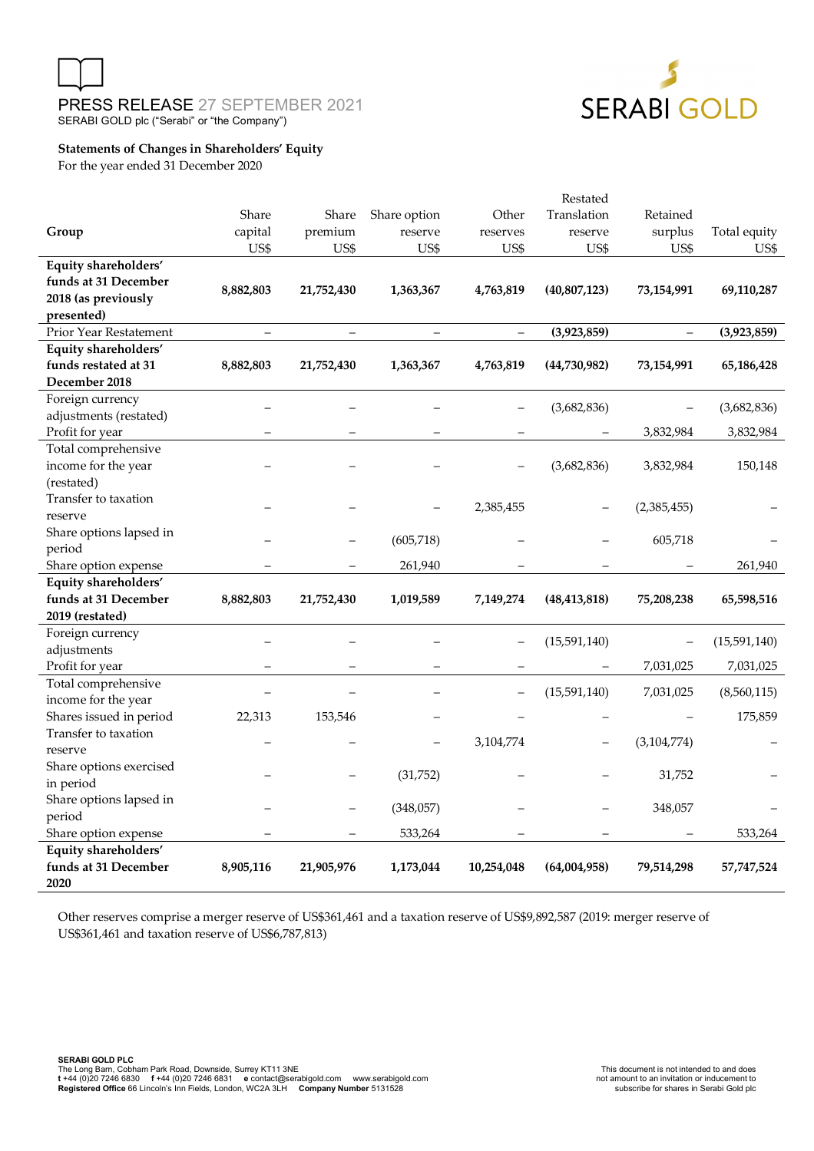

#### **Statements of Changes in Shareholders' Equity**

For the year ended 31 December 2020

|                         |           |            |              |            | Restated       |               |              |
|-------------------------|-----------|------------|--------------|------------|----------------|---------------|--------------|
|                         | Share     | Share      | Share option | Other      | Translation    | Retained      |              |
| Group                   | capital   | premium    | reserve      | reserves   | reserve        | surplus       | Total equity |
|                         | US\$      | US\$       | US\$         | US\$       | US\$           | US\$          | US\$         |
| Equity shareholders'    |           |            |              |            |                |               |              |
| funds at 31 December    |           |            |              |            |                |               |              |
| 2018 (as previously     | 8,882,803 | 21,752,430 | 1,363,367    | 4,763,819  | (40, 807, 123) | 73,154,991    | 69,110,287   |
| presented)              |           |            |              |            |                |               |              |
| Prior Year Restatement  |           |            |              |            | (3,923,859)    |               | (3,923,859)  |
| Equity shareholders'    |           |            |              |            |                |               |              |
| funds restated at 31    | 8,882,803 | 21,752,430 | 1,363,367    | 4,763,819  | (44, 730, 982) | 73,154,991    | 65,186,428   |
| December 2018           |           |            |              |            |                |               |              |
| Foreign currency        |           |            |              |            | (3,682,836)    |               | (3,682,836)  |
| adjustments (restated)  |           |            |              |            |                |               |              |
| Profit for year         |           |            |              |            |                | 3,832,984     | 3,832,984    |
| Total comprehensive     |           |            |              |            |                |               |              |
| income for the year     |           |            |              |            | (3,682,836)    | 3,832,984     | 150,148      |
| (restated)              |           |            |              |            |                |               |              |
| Transfer to taxation    |           |            |              | 2,385,455  |                |               |              |
| reserve                 |           |            |              |            |                | (2,385,455)   |              |
| Share options lapsed in |           |            | (605, 718)   |            |                | 605,718       |              |
| period                  |           |            |              |            |                |               |              |
| Share option expense    |           |            | 261,940      |            |                |               | 261,940      |
| Equity shareholders'    |           |            |              |            |                |               |              |
| funds at 31 December    | 8,882,803 | 21,752,430 | 1,019,589    | 7,149,274  | (48, 413, 818) | 75,208,238    | 65,598,516   |
| 2019 (restated)         |           |            |              |            |                |               |              |
| Foreign currency        |           |            |              |            | (15,591,140)   |               | (15,591,140) |
| adjustments             |           |            |              |            |                |               |              |
| Profit for year         |           |            |              |            |                | 7,031,025     | 7,031,025    |
| Total comprehensive     |           |            |              |            | (15,591,140)   | 7,031,025     | (8,560,115)  |
| income for the year     |           |            |              |            |                |               |              |
| Shares issued in period | 22,313    | 153,546    |              |            |                |               | 175,859      |
| Transfer to taxation    |           |            |              | 3,104,774  |                | (3, 104, 774) |              |
| reserve                 |           |            |              |            |                |               |              |
| Share options exercised |           |            | (31,752)     |            |                | 31,752        |              |
| in period               |           |            |              |            |                |               |              |
| Share options lapsed in |           |            | (348,057)    |            |                | 348,057       |              |
| period                  |           |            |              |            |                |               |              |
| Share option expense    |           |            | 533,264      |            |                |               | 533,264      |
| Equity shareholders'    |           |            |              |            |                |               |              |
| funds at 31 December    | 8,905,116 | 21,905,976 | 1,173,044    | 10,254,048 | (64,004,958)   | 79,514,298    | 57,747,524   |
| 2020                    |           |            |              |            |                |               |              |

Other reserves comprise a merger reserve of US\$361,461 and a taxation reserve of US\$9,892,587 (2019: merger reserve of US\$361,461 and taxation reserve of US\$6,787,813)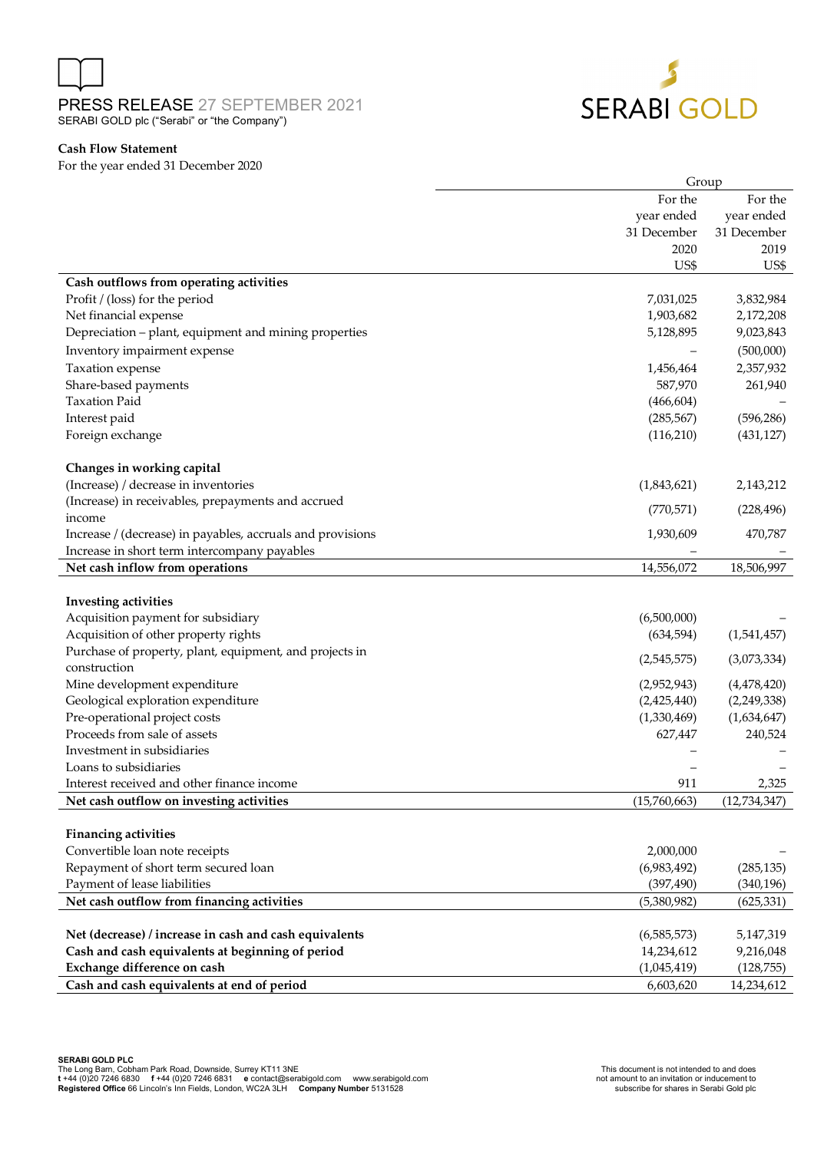

#### **Cash Flow Statement**

For the year ended 31 December 2020

|                                                            | Group        |                |  |
|------------------------------------------------------------|--------------|----------------|--|
|                                                            | For the      |                |  |
|                                                            | year ended   | year ended     |  |
|                                                            | 31 December  | 31 December    |  |
|                                                            | 2020         | 2019           |  |
|                                                            | US\$         | US\$           |  |
| Cash outflows from operating activities                    |              |                |  |
| Profit / (loss) for the period                             | 7,031,025    | 3,832,984      |  |
| Net financial expense                                      | 1,903,682    | 2,172,208      |  |
| Depreciation - plant, equipment and mining properties      | 5,128,895    | 9,023,843      |  |
| Inventory impairment expense                               |              | (500,000)      |  |
| Taxation expense                                           | 1,456,464    | 2,357,932      |  |
| Share-based payments                                       | 587,970      | 261,940        |  |
| <b>Taxation Paid</b>                                       | (466, 604)   |                |  |
| Interest paid                                              | (285, 567)   | (596, 286)     |  |
| Foreign exchange                                           | (116,210)    | (431, 127)     |  |
|                                                            |              |                |  |
| Changes in working capital                                 |              |                |  |
| (Increase) / decrease in inventories                       | (1,843,621)  | 2,143,212      |  |
| (Increase) in receivables, prepayments and accrued         |              |                |  |
| income                                                     | (770, 571)   | (228, 496)     |  |
| Increase / (decrease) in payables, accruals and provisions | 1,930,609    | 470,787        |  |
| Increase in short term intercompany payables               |              |                |  |
| Net cash inflow from operations                            | 14,556,072   | 18,506,997     |  |
|                                                            |              |                |  |
| <b>Investing activities</b>                                |              |                |  |
| Acquisition payment for subsidiary                         | (6,500,000)  |                |  |
| Acquisition of other property rights                       | (634, 594)   | (1,541,457)    |  |
| Purchase of property, plant, equipment, and projects in    | (2,545,575)  | (3,073,334)    |  |
| construction                                               |              |                |  |
| Mine development expenditure                               | (2,952,943)  | (4,478,420)    |  |
| Geological exploration expenditure                         | (2,425,440)  | (2,249,338)    |  |
| Pre-operational project costs                              | (1,330,469)  | (1,634,647)    |  |
| Proceeds from sale of assets                               | 627,447      | 240,524        |  |
| Investment in subsidiaries                                 |              |                |  |
| Loans to subsidiaries                                      |              |                |  |
| Interest received and other finance income                 | 911          | 2.325          |  |
| Net cash outflow on investing activities                   | (15,760,663) | (12, 734, 347) |  |
|                                                            |              |                |  |
| <b>Financing activities</b>                                |              |                |  |
| Convertible loan note receipts                             | 2,000,000    |                |  |
| Repayment of short term secured loan                       | (6,983,492)  | (285, 135)     |  |
| Payment of lease liabilities                               | (397, 490)   | (340, 196)     |  |
| Net cash outflow from financing activities                 | (5,380,982)  | (625, 331)     |  |
|                                                            |              |                |  |
| Net (decrease) / increase in cash and cash equivalents     | (6,585,573)  | 5,147,319      |  |
| Cash and cash equivalents at beginning of period           | 14,234,612   | 9,216,048      |  |
| Exchange difference on cash                                | (1,045,419)  | (128, 755)     |  |
| Cash and cash equivalents at end of period                 | 6,603,620    | 14,234,612     |  |

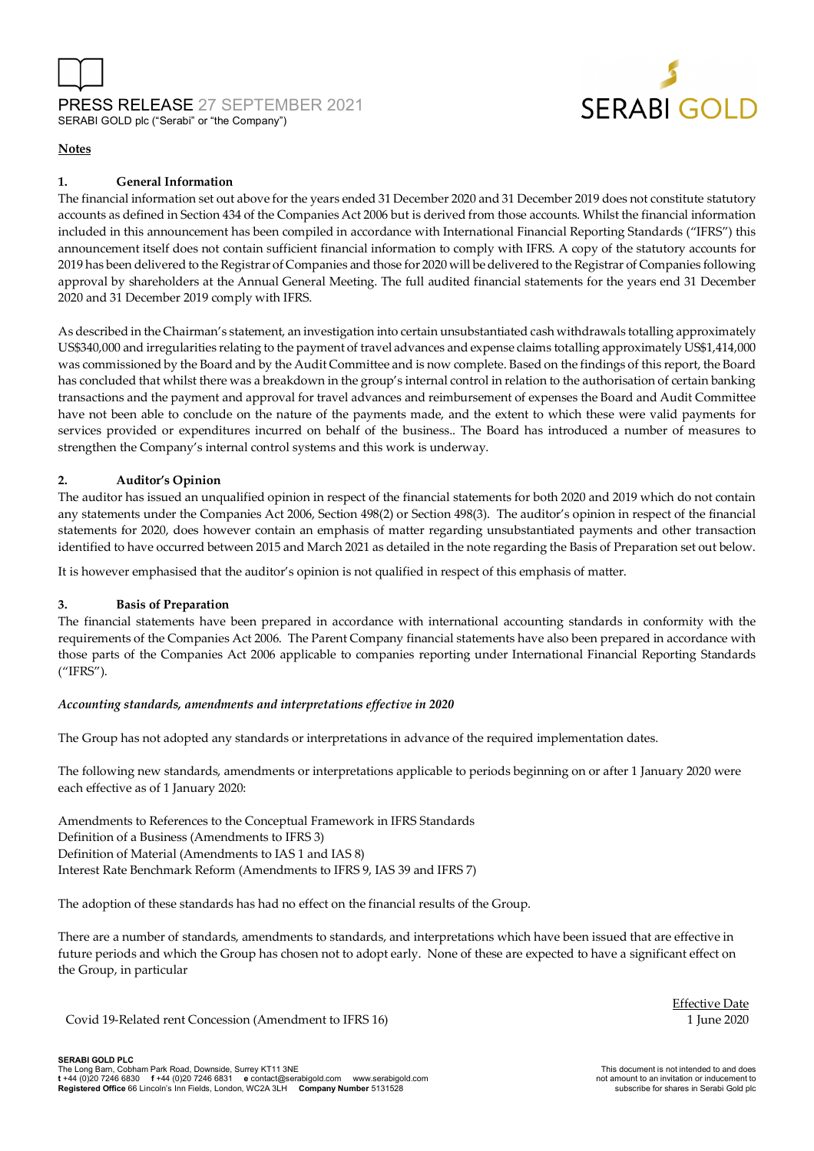

#### **Notes**

#### **1. General Information**

The financial information set out above for the years ended 31 December 2020 and 31 December 2019 does not constitute statutory accounts as defined in Section 434 of the Companies Act 2006 but is derived from those accounts. Whilst the financial information included in this announcement has been compiled in accordance with International Financial Reporting Standards ("IFRS") this announcement itself does not contain sufficient financial information to comply with IFRS. A copy of the statutory accounts for 2019 has been delivered to the Registrar of Companies and those for 2020 will be delivered to the Registrar of Companies following approval by shareholders at the Annual General Meeting. The full audited financial statements for the years end 31 December 2020 and 31 December 2019 comply with IFRS.

As described in the Chairman's statement, an investigation into certain unsubstantiated cash withdrawals totalling approximately US\$340,000 and irregularities relating to the payment of travel advances and expense claims totalling approximately US\$1,414,000 was commissioned by the Board and by the Audit Committee and is now complete. Based on the findings of this report, the Board has concluded that whilst there was a breakdown in the group's internal control in relation to the authorisation of certain banking transactions and the payment and approval for travel advances and reimbursement of expenses the Board and Audit Committee have not been able to conclude on the nature of the payments made, and the extent to which these were valid payments for services provided or expenditures incurred on behalf of the business.. The Board has introduced a number of measures to strengthen the Company's internal control systems and this work is underway.

#### **2. Auditor's Opinion**

The auditor has issued an unqualified opinion in respect of the financial statements for both 2020 and 2019 which do not contain any statements under the Companies Act 2006, Section 498(2) or Section 498(3). The auditor's opinion in respect of the financial statements for 2020, does however contain an emphasis of matter regarding unsubstantiated payments and other transaction identified to have occurred between 2015 and March 2021 as detailed in the note regarding the Basis of Preparation set out below.

It is however emphasised that the auditor's opinion is not qualified in respect of this emphasis of matter.

#### **3. Basis of Preparation**

The financial statements have been prepared in accordance with international accounting standards in conformity with the requirements of the Companies Act 2006. The Parent Company financial statements have also been prepared in accordance with those parts of the Companies Act 2006 applicable to companies reporting under International Financial Reporting Standards ("IFRS").

#### *Accounting standards, amendments and interpretations effective in 2020*

The Group has not adopted any standards or interpretations in advance of the required implementation dates.

The following new standards, amendments or interpretations applicable to periods beginning on or after 1 January 2020 were each effective as of 1 January 2020:

Amendments to References to the Conceptual Framework in IFRS Standards Definition of a Business (Amendments to IFRS 3) Definition of Material (Amendments to IAS 1 and IAS 8) Interest Rate Benchmark Reform (Amendments to IFRS 9, IAS 39 and IFRS 7)

The adoption of these standards has had no effect on the financial results of the Group.

There are a number of standards, amendments to standards, and interpretations which have been issued that are effective in future periods and which the Group has chosen not to adopt early. None of these are expected to have a significant effect on the Group, in particular

Covid 19-Related rent Concession (Amendment to IFRS 16) 1 June 2020

Effective Date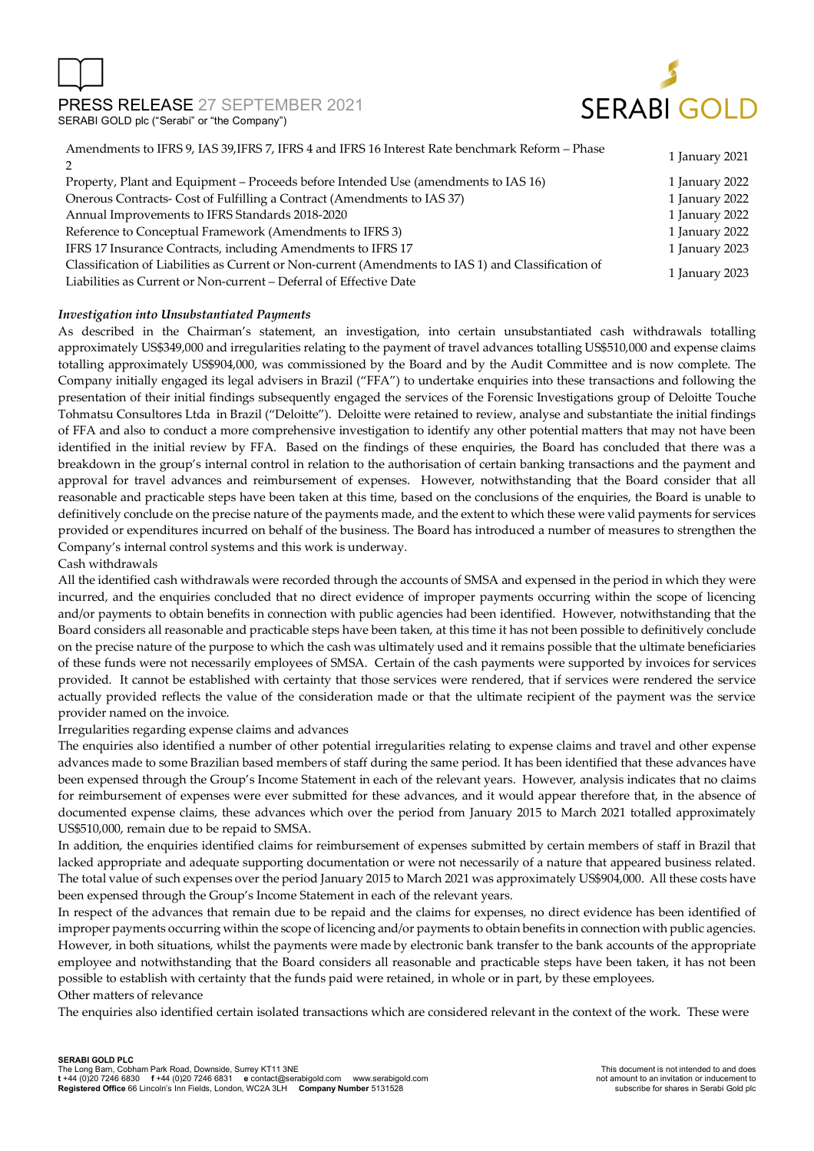



Amendments to IFRS 9, IAS 39,IFRS 7, IFRS 4 and IFRS 16 Interest Rate benchmark Reform – Phase <sup>2</sup>1 January 2021 Property, Plant and Equipment – Proceeds before Intended Use (amendments to IAS 16) 1 January 2022 Onerous Contracts- Cost of Fulfilling a Contract (Amendments to IAS 37) 1 January 2022 Annual Improvements to IFRS Standards 2018-2020 1 January 2022 Reference to Conceptual Framework (Amendments to IFRS 3) 1 January 2022 IFRS 17 Insurance Contracts, including Amendments to IFRS 17 1 January 2023 Classification of Liabilities as Current or Non-current (Amendments to IAS 1) and Classification of Liabilities as Current or Non-current – Deferral of Effective Date 1 January 2023<br>Liabilities as Current or Non-current – Deferral of Effective Date

#### *Investigation into Unsubstantiated Payments*

As described in the Chairman's statement, an investigation, into certain unsubstantiated cash withdrawals totalling approximately US\$349,000 and irregularities relating to the payment of travel advances totalling US\$510,000 and expense claims totalling approximately US\$904,000, was commissioned by the Board and by the Audit Committee and is now complete. The Company initially engaged its legal advisers in Brazil ("FFA") to undertake enquiries into these transactions and following the presentation of their initial findings subsequently engaged the services of the Forensic Investigations group of Deloitte Touche Tohmatsu Consultores Ltda in Brazil ("Deloitte"). Deloitte were retained to review, analyse and substantiate the initial findings of FFA and also to conduct a more comprehensive investigation to identify any other potential matters that may not have been identified in the initial review by FFA. Based on the findings of these enquiries, the Board has concluded that there was a breakdown in the group's internal control in relation to the authorisation of certain banking transactions and the payment and approval for travel advances and reimbursement of expenses. However, notwithstanding that the Board consider that all reasonable and practicable steps have been taken at this time, based on the conclusions of the enquiries, the Board is unable to definitively conclude on the precise nature of the payments made, and the extent to which these were valid payments for services provided or expenditures incurred on behalf of the business. The Board has introduced a number of measures to strengthen the Company's internal control systems and this work is underway.

Cash withdrawals

All the identified cash withdrawals were recorded through the accounts of SMSA and expensed in the period in which they were incurred, and the enquiries concluded that no direct evidence of improper payments occurring within the scope of licencing and/or payments to obtain benefits in connection with public agencies had been identified. However, notwithstanding that the Board considers all reasonable and practicable steps have been taken, at this time it has not been possible to definitively conclude on the precise nature of the purpose to which the cash was ultimately used and it remains possible that the ultimate beneficiaries of these funds were not necessarily employees of SMSA. Certain of the cash payments were supported by invoices for services provided. It cannot be established with certainty that those services were rendered, that if services were rendered the service actually provided reflects the value of the consideration made or that the ultimate recipient of the payment was the service provider named on the invoice.

#### Irregularities regarding expense claims and advances

The enquiries also identified a number of other potential irregularities relating to expense claims and travel and other expense advances made to some Brazilian based members of staff during the same period. It has been identified that these advances have been expensed through the Group's Income Statement in each of the relevant years. However, analysis indicates that no claims for reimbursement of expenses were ever submitted for these advances, and it would appear therefore that, in the absence of documented expense claims, these advances which over the period from January 2015 to March 2021 totalled approximately US\$510,000, remain due to be repaid to SMSA.

In addition, the enquiries identified claims for reimbursement of expenses submitted by certain members of staff in Brazil that lacked appropriate and adequate supporting documentation or were not necessarily of a nature that appeared business related. The total value of such expenses over the period January 2015 to March 2021 was approximately US\$904,000. All these costs have been expensed through the Group's Income Statement in each of the relevant years.

In respect of the advances that remain due to be repaid and the claims for expenses, no direct evidence has been identified of improper payments occurring within the scope of licencing and/or payments to obtain benefits in connection with public agencies. However, in both situations, whilst the payments were made by electronic bank transfer to the bank accounts of the appropriate employee and notwithstanding that the Board considers all reasonable and practicable steps have been taken, it has not been possible to establish with certainty that the funds paid were retained, in whole or in part, by these employees. Other matters of relevance

The enquiries also identified certain isolated transactions which are considered relevant in the context of the work. These were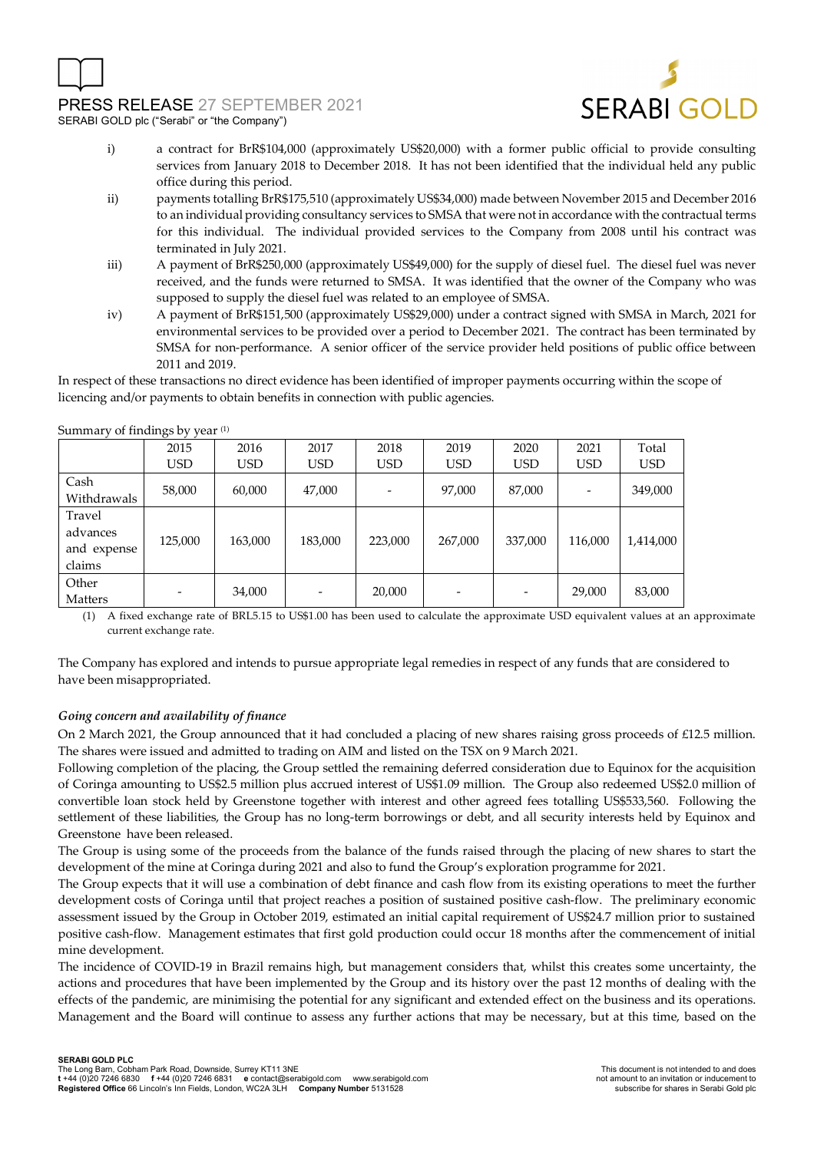

- i) a contract for BrR\$104,000 (approximately US\$20,000) with a former public official to provide consulting services from January 2018 to December 2018. It has not been identified that the individual held any public office during this period.
- ii) payments totalling BrR\$175,510 (approximately US\$34,000) made between November 2015 and December 2016 to an individual providing consultancy services to SMSA that were not in accordance with the contractual terms for this individual. The individual provided services to the Company from 2008 until his contract was terminated in July 2021.
- iii) A payment of BrR\$250,000 (approximately US\$49,000) for the supply of diesel fuel. The diesel fuel was never received, and the funds were returned to SMSA. It was identified that the owner of the Company who was supposed to supply the diesel fuel was related to an employee of SMSA.
- iv) A payment of BrR\$151,500 (approximately US\$29,000) under a contract signed with SMSA in March, 2021 for environmental services to be provided over a period to December 2021. The contract has been terminated by SMSA for non-performance. A senior officer of the service provider held positions of public office between 2011 and 2019.

In respect of these transactions no direct evidence has been identified of improper payments occurring within the scope of licencing and/or payments to obtain benefits in connection with public agencies.

|                                   | 2015    | 2016       | 2017       | 2018       | 2019       | 2020       | 2021       | Total      |
|-----------------------------------|---------|------------|------------|------------|------------|------------|------------|------------|
|                                   | USD     | <b>USD</b> | <b>USD</b> | <b>USD</b> | <b>USD</b> | <b>USD</b> | <b>USD</b> | <b>USD</b> |
| Cash<br>Withdrawals               | 58,000  | 60,000     | 47,000     |            | 97,000     | 87,000     |            | 349,000    |
| Travel<br>advances<br>and expense | 125,000 | 163,000    | 183,000    | 223,000    | 267,000    | 337,000    | 116,000    | 1,414,000  |
| claims                            |         |            |            |            |            |            |            |            |
| Other<br>Matters                  |         | 34,000     |            | 20,000     |            |            | 29,000     | 83,000     |

Summary of findings by year <sup>(1)</sup>

(1) A fixed exchange rate of BRL5.15 to US\$1.00 has been used to calculate the approximate USD equivalent values at an approximate current exchange rate.

The Company has explored and intends to pursue appropriate legal remedies in respect of any funds that are considered to have been misappropriated.

#### *Going concern and availability of finance*

On 2 March 2021, the Group announced that it had concluded a placing of new shares raising gross proceeds of £12.5 million. The shares were issued and admitted to trading on AIM and listed on the TSX on 9 March 2021.

Following completion of the placing, the Group settled the remaining deferred consideration due to Equinox for the acquisition of Coringa amounting to US\$2.5 million plus accrued interest of US\$1.09 million. The Group also redeemed US\$2.0 million of convertible loan stock held by Greenstone together with interest and other agreed fees totalling US\$533,560. Following the settlement of these liabilities, the Group has no long-term borrowings or debt, and all security interests held by Equinox and Greenstone have been released.

The Group is using some of the proceeds from the balance of the funds raised through the placing of new shares to start the development of the mine at Coringa during 2021 and also to fund the Group's exploration programme for 2021.

The Group expects that it will use a combination of debt finance and cash flow from its existing operations to meet the further development costs of Coringa until that project reaches a position of sustained positive cash-flow. The preliminary economic assessment issued by the Group in October 2019, estimated an initial capital requirement of US\$24.7 million prior to sustained positive cash-flow. Management estimates that first gold production could occur 18 months after the commencement of initial mine development.

The incidence of COVID-19 in Brazil remains high, but management considers that, whilst this creates some uncertainty, the actions and procedures that have been implemented by the Group and its history over the past 12 months of dealing with the effects of the pandemic, are minimising the potential for any significant and extended effect on the business and its operations. Management and the Board will continue to assess any further actions that may be necessary, but at this time, based on the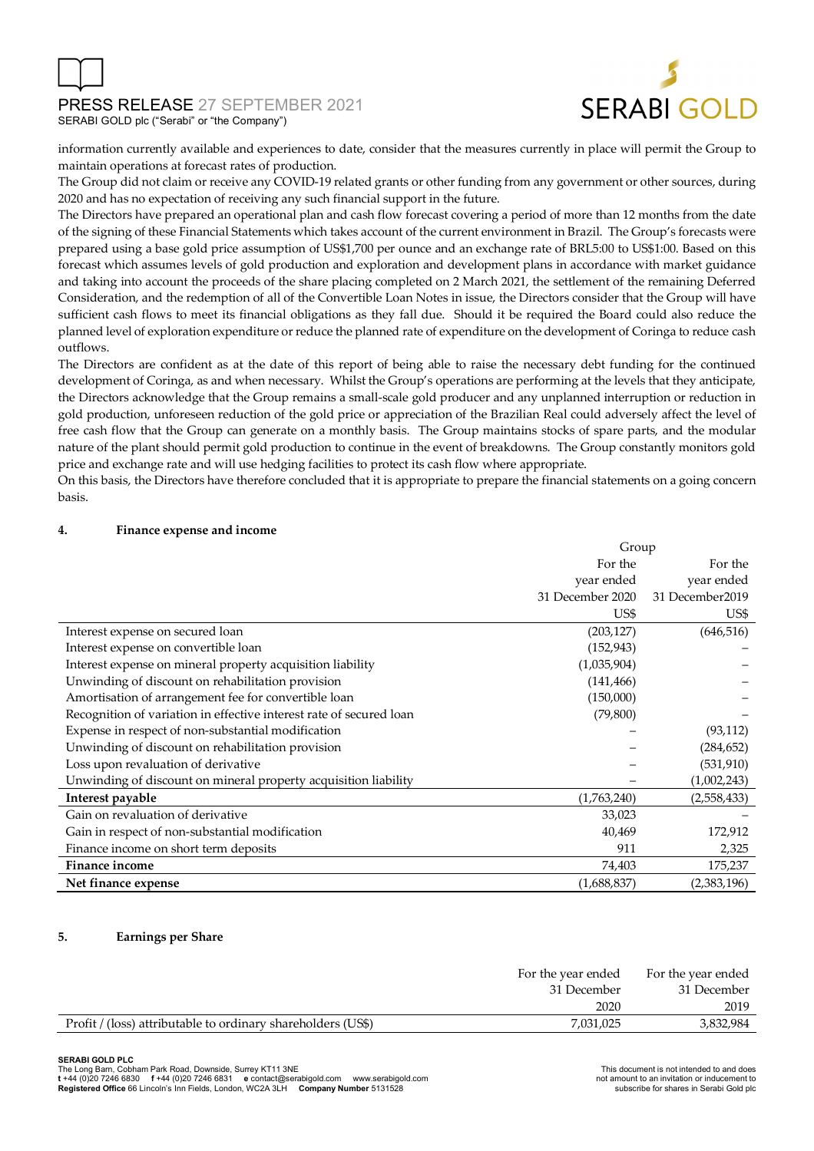

Group

information currently available and experiences to date, consider that the measures currently in place will permit the Group to maintain operations at forecast rates of production.

The Group did not claim or receive any COVID-19 related grants or other funding from any government or other sources, during 2020 and has no expectation of receiving any such financial support in the future.

The Directors have prepared an operational plan and cash flow forecast covering a period of more than 12 months from the date of the signing of these Financial Statements which takes account of the current environment in Brazil. The Group's forecasts were prepared using a base gold price assumption of US\$1,700 per ounce and an exchange rate of BRL5:00 to US\$1:00. Based on this forecast which assumes levels of gold production and exploration and development plans in accordance with market guidance and taking into account the proceeds of the share placing completed on 2 March 2021, the settlement of the remaining Deferred Consideration, and the redemption of all of the Convertible Loan Notes in issue, the Directors consider that the Group will have sufficient cash flows to meet its financial obligations as they fall due. Should it be required the Board could also reduce the planned level of exploration expenditure or reduce the planned rate of expenditure on the development of Coringa to reduce cash outflows.

The Directors are confident as at the date of this report of being able to raise the necessary debt funding for the continued development of Coringa, as and when necessary. Whilst the Group's operations are performing at the levels that they anticipate, the Directors acknowledge that the Group remains a small-scale gold producer and any unplanned interruption or reduction in gold production, unforeseen reduction of the gold price or appreciation of the Brazilian Real could adversely affect the level of free cash flow that the Group can generate on a monthly basis. The Group maintains stocks of spare parts, and the modular nature of the plant should permit gold production to continue in the event of breakdowns. The Group constantly monitors gold price and exchange rate and will use hedging facilities to protect its cash flow where appropriate.

On this basis, the Directors have therefore concluded that it is appropriate to prepare the financial statements on a going concern basis.

|                                                                     | For the          | For the         |
|---------------------------------------------------------------------|------------------|-----------------|
|                                                                     | year ended       | year ended      |
|                                                                     | 31 December 2020 | 31 December2019 |
|                                                                     | US\$             | US\$            |
| Interest expense on secured loan                                    | (203, 127)       | (646, 516)      |
| Interest expense on convertible loan                                | (152, 943)       |                 |
| Interest expense on mineral property acquisition liability          | (1,035,904)      |                 |
| Unwinding of discount on rehabilitation provision                   | (141, 466)       |                 |
| Amortisation of arrangement fee for convertible loan                | (150,000)        |                 |
| Recognition of variation in effective interest rate of secured loan | (79, 800)        |                 |
| Expense in respect of non-substantial modification                  |                  | (93, 112)       |
| Unwinding of discount on rehabilitation provision                   |                  | (284, 652)      |
| Loss upon revaluation of derivative                                 |                  | (531, 910)      |
| Unwinding of discount on mineral property acquisition liability     |                  | (1,002,243)     |
| Interest payable                                                    | (1,763,240)      | (2,558,433)     |
| Gain on revaluation of derivative                                   | 33,023           |                 |
| Gain in respect of non-substantial modification                     | 40,469           | 172,912         |
| Finance income on short term deposits                               | 911              | 2,325           |
| Finance income                                                      | 74,403           | 175,237         |
| Net finance expense                                                 | (1,688,837)      | (2,383,196)     |

### **4. Finance expense and income**

#### **5. Earnings per Share**

|                                                              | For the year ended | For the year ended |
|--------------------------------------------------------------|--------------------|--------------------|
|                                                              | 31 December        | 31 December        |
|                                                              | 2020               | 2019               |
| Profit / (loss) attributable to ordinary shareholders (US\$) | 7,031,025          | 3,832,984          |
|                                                              |                    |                    |

**SERABI GOLD PLC**  The Long Barn, Cobham Park Road, Downside, Surrey KT11 3NE<br>t +44 (0)20 7246 6830 f +44 (0)20 7246 6831 e contact@serabigold.com www.serabigold.com not amount to an invitation or inducement to **Registered Office** 66 Lincoln's Inn Fields, London, WC2A 3LH **Company Number** 5131528 subscribe for shares in Serabi Gold plc